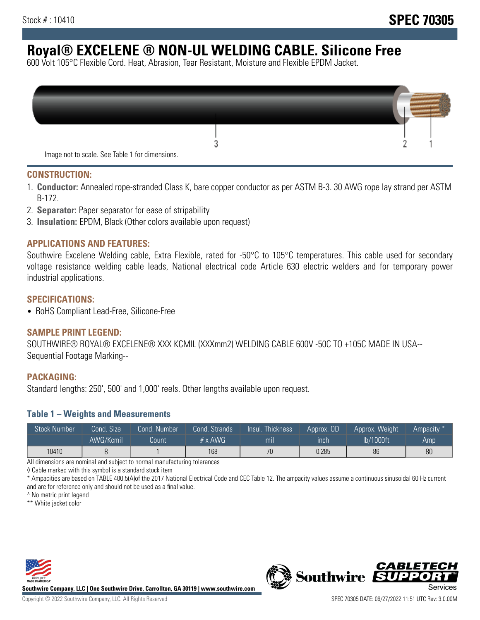# **Royal® EXCELENE ® NON-UL WELDING CABLE. Silicone Free**

600 Volt 105°C Flexible Cord. Heat, Abrasion, Tear Resistant, Moisture and Flexible EPDM Jacket.

| Image not to scale. See Table 1 for dimensions. |  |
|-------------------------------------------------|--|

#### **CONSTRUCTION:**

- 1. **Conductor:** Annealed rope-stranded Class K, bare copper conductor as per ASTM B-3. 30 AWG rope lay strand per ASTM B-172.
- 2. **Separator:** Paper separator for ease of stripability
- 3. **Insulation:** EPDM, Black (Other colors available upon request)

#### **APPLICATIONS AND FEATURES:**

Southwire Excelene Welding cable, Extra Flexible, rated for -50°C to 105°C temperatures. This cable used for secondary voltage resistance welding cable leads, National electrical code Article 630 electric welders and for temporary power industrial applications.

#### **SPECIFICATIONS:**

• RoHS Compliant Lead-Free, Silicone-Free

#### **SAMPLE PRINT LEGEND:**

SOUTHWIRE® ROYAL® EXCELENE® XXX KCMIL (XXXmm2) WELDING CABLE 600V -50C TO +105C MADE IN USA-- Sequential Footage Marking--

#### **PACKAGING:**

Standard lengths: 250', 500' and 1,000' reels. Other lengths available upon request.

#### **Table 1 – Weights and Measurements**

| <b>Stock Number</b> | Cond. Size' | Cond. Number | Cond. Strands  | /Insul.<br><b>Thickness</b> | Approx. OD | Approx. Weight | Ampacity * |
|---------------------|-------------|--------------|----------------|-----------------------------|------------|----------------|------------|
|                     | AWG/Kcmil   | Count        | $# \times$ AWG | m <sub>l</sub>              | inch       | lb/1000ft      | Amp.       |
| 10410               |             |              | 168            | 70                          | 0.285      | 86             | 80         |

All dimensions are nominal and subject to normal manufacturing tolerances

◊ Cable marked with this symbol is a standard stock item

\* Ampacities are based on TABLE 400.5(A)of the 2017 National Electrical Code and CEC Table 12. The ampacity values assume a continuous sinusoidal 60 Hz current and are for reference only and should not be used as a final value.

^ No metric print legend

\*\* White jacket color



**Southwire Company, LLC | One Southwire Drive, Carrollton, GA 30119 | www.southwire.com**



*CABLETE*